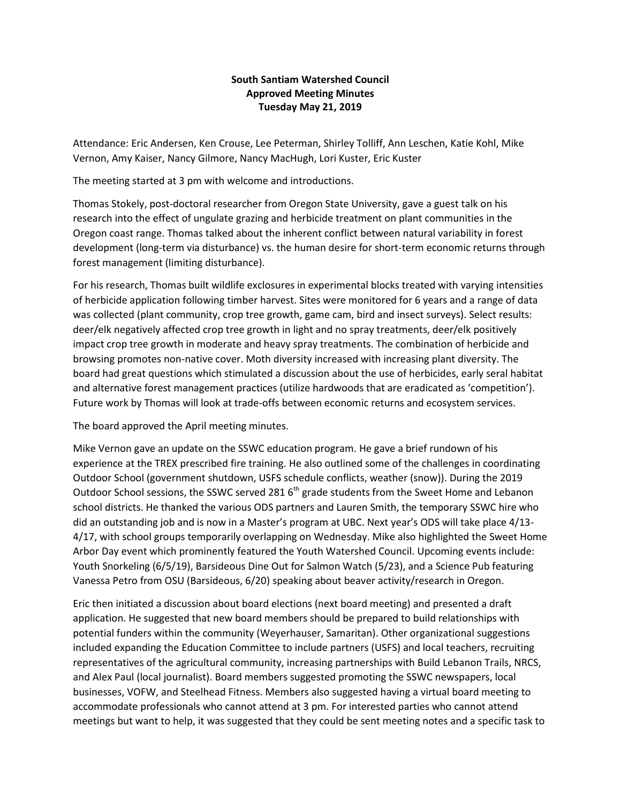## **South Santiam Watershed Council Approved Meeting Minutes Tuesday May 21, 2019**

Attendance: Eric Andersen, Ken Crouse, Lee Peterman, Shirley Tolliff, Ann Leschen, Katie Kohl, Mike Vernon, Amy Kaiser, Nancy Gilmore, Nancy MacHugh, Lori Kuster, Eric Kuster

The meeting started at 3 pm with welcome and introductions.

Thomas Stokely, post-doctoral researcher from Oregon State University, gave a guest talk on his research into the effect of ungulate grazing and herbicide treatment on plant communities in the Oregon coast range. Thomas talked about the inherent conflict between natural variability in forest development (long-term via disturbance) vs. the human desire for short-term economic returns through forest management (limiting disturbance).

For his research, Thomas built wildlife exclosures in experimental blocks treated with varying intensities of herbicide application following timber harvest. Sites were monitored for 6 years and a range of data was collected (plant community, crop tree growth, game cam, bird and insect surveys). Select results: deer/elk negatively affected crop tree growth in light and no spray treatments, deer/elk positively impact crop tree growth in moderate and heavy spray treatments. The combination of herbicide and browsing promotes non-native cover. Moth diversity increased with increasing plant diversity. The board had great questions which stimulated a discussion about the use of herbicides, early seral habitat and alternative forest management practices (utilize hardwoods that are eradicated as 'competition'). Future work by Thomas will look at trade-offs between economic returns and ecosystem services.

The board approved the April meeting minutes.

Mike Vernon gave an update on the SSWC education program. He gave a brief rundown of his experience at the TREX prescribed fire training. He also outlined some of the challenges in coordinating Outdoor School (government shutdown, USFS schedule conflicts, weather (snow)). During the 2019 Outdoor School sessions, the SSWC served 281 6<sup>th</sup> grade students from the Sweet Home and Lebanon school districts. He thanked the various ODS partners and Lauren Smith, the temporary SSWC hire who did an outstanding job and is now in a Master's program at UBC. Next year's ODS will take place 4/13- 4/17, with school groups temporarily overlapping on Wednesday. Mike also highlighted the Sweet Home Arbor Day event which prominently featured the Youth Watershed Council. Upcoming events include: Youth Snorkeling (6/5/19), Barsideous Dine Out for Salmon Watch (5/23), and a Science Pub featuring Vanessa Petro from OSU (Barsideous, 6/20) speaking about beaver activity/research in Oregon.

Eric then initiated a discussion about board elections (next board meeting) and presented a draft application. He suggested that new board members should be prepared to build relationships with potential funders within the community (Weyerhauser, Samaritan). Other organizational suggestions included expanding the Education Committee to include partners (USFS) and local teachers, recruiting representatives of the agricultural community, increasing partnerships with Build Lebanon Trails, NRCS, and Alex Paul (local journalist). Board members suggested promoting the SSWC newspapers, local businesses, VOFW, and Steelhead Fitness. Members also suggested having a virtual board meeting to accommodate professionals who cannot attend at 3 pm. For interested parties who cannot attend meetings but want to help, it was suggested that they could be sent meeting notes and a specific task to